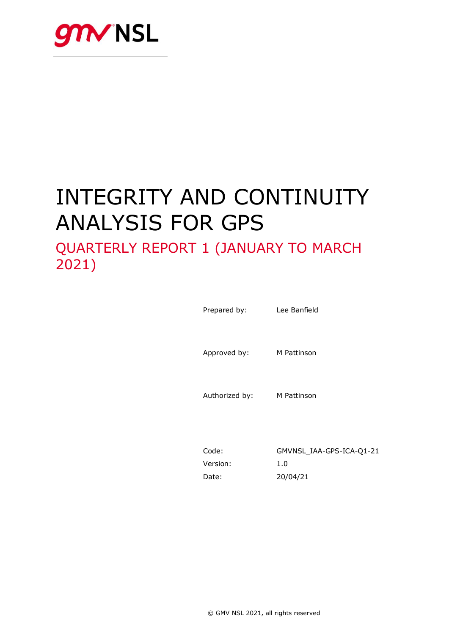

# INTEGRITY AND CONTINUITY ANALYSIS FOR GPS

## QUARTERLY REPORT 1 (JANUARY TO MARCH 2021)

Prepared by: Lee Banfield Approved by: M Pattinson Authorized by: M Pattinson

| Code:    | GMVNSL IAA-GPS-ICA-01-21 |
|----------|--------------------------|
| Version: | 1.0                      |
| Date:    | 20/04/21                 |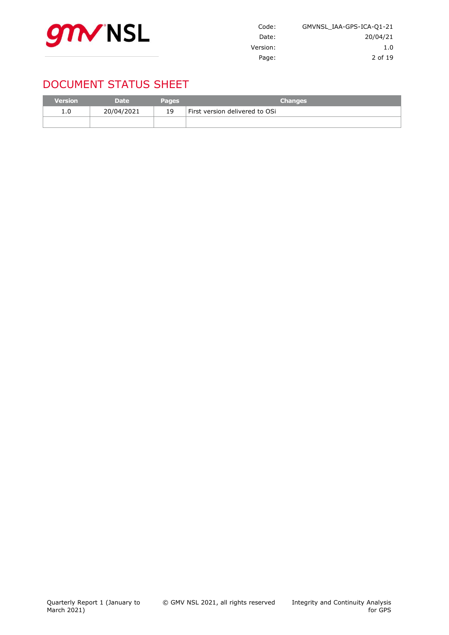

| GMVNSL IAA-GPS-ICA-01-21 | Code:    |  |
|--------------------------|----------|--|
| 20/04/21                 | Date:    |  |
| 1.0                      | Version: |  |
| 2 of 19                  | Page:    |  |

## DOCUMENT STATUS SHEET

| <b>Version</b> | <b>Date</b> | <b>Pages</b> | <b>Changes</b>                 |
|----------------|-------------|--------------|--------------------------------|
| 1.0            | 20/04/2021  | 19           | First version delivered to OSi |
|                |             |              |                                |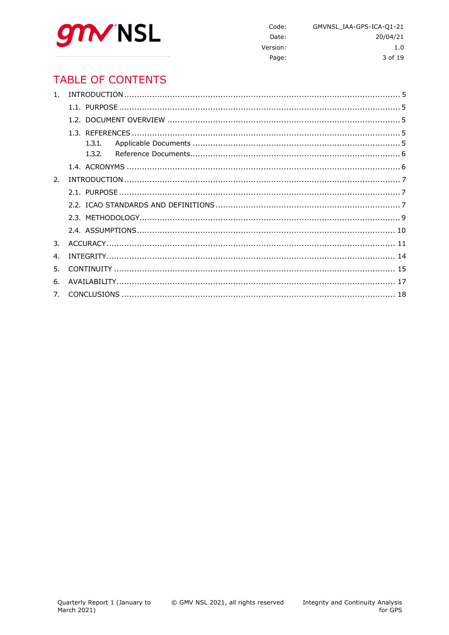

Code: GMVNSL\_IAA-GPS-ICA-Q1-21 Date: 20/04/21 Version:  $1.0$ Page: 3 of 19

## **TABLE OF CONTENTS**

|              | 1.3.1. |  |
|--------------|--------|--|
|              |        |  |
|              |        |  |
| 2.           |        |  |
|              |        |  |
|              |        |  |
|              |        |  |
|              |        |  |
| 3.           |        |  |
| $\mathbf{4}$ |        |  |
| 5.           |        |  |
| 6.           |        |  |
|              |        |  |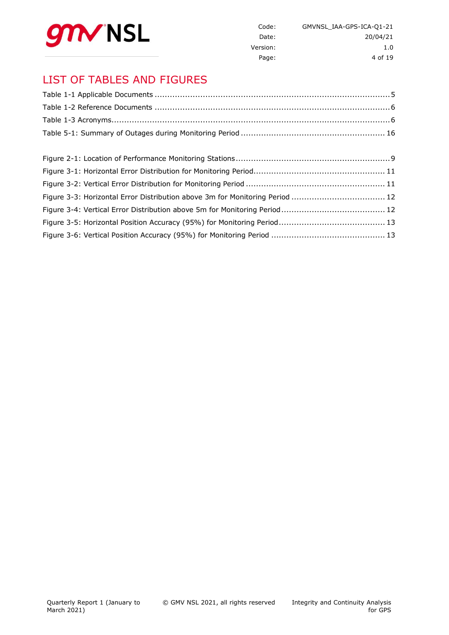

## LIST OF TABLES AND FIGURES

| Figure 3-3: Horizontal Error Distribution above 3m for Monitoring Period  12 |  |
|------------------------------------------------------------------------------|--|
|                                                                              |  |
|                                                                              |  |
|                                                                              |  |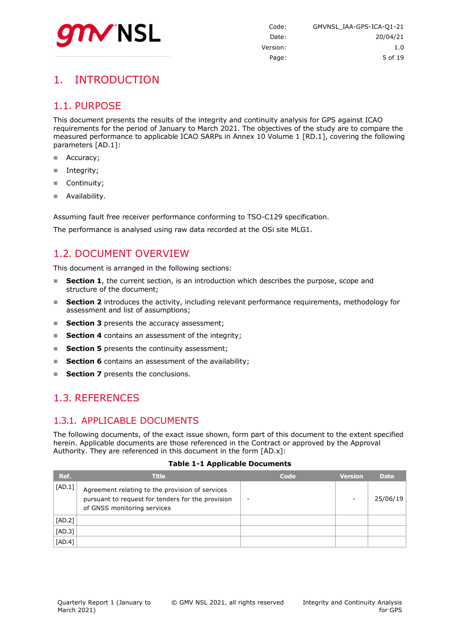

## <span id="page-4-0"></span>1. INTRODUCTION

#### <span id="page-4-1"></span>1.1. PURPOSE

This document presents the results of the integrity and continuity analysis for GPS against ICAO requirements for the period of January to March 2021. The objectives of the study are to compare the measured performance to applicable ICAO SARPs in Annex 10 Volume 1 [RD.1], covering the following parameters [AD.1]:

- Accuracy;
- **Integrity;**
- Continuity;
- **Availability.**

Assuming fault free receiver performance conforming to TSO-C129 specification.

<span id="page-4-2"></span>The performance is analysed using raw data recorded at the OSi site MLG1.

#### 1.2. DOCUMENT OVERVIEW

This document is arranged in the following sections:

- **Section 1**, the current section, is an introduction which describes the purpose, scope and structure of the document;
- **Section 2** introduces the activity, including relevant performance requirements, methodology for assessment and list of assumptions;
- **Section 3** presents the accuracy assessment;
- **Section 4** contains an assessment of the integrity;
- **Section 5** presents the continuity assessment;
- **Section 6** contains an assessment of the availability;
- <span id="page-4-3"></span>**Section 7** presents the conclusions.

#### 1.3. REFERENCES

#### <span id="page-4-4"></span>1.3.1. APPLICABLE DOCUMENTS

The following documents, of the exact issue shown, form part of this document to the extent specified herein. Applicable documents are those referenced in the Contract or approved by the Approval Authority. They are referenced in this document in the form [AD.x]:

#### **Table 1-1 Applicable Documents**

<span id="page-4-5"></span>

| Ref.     | <b>Title</b>                                                                                                                        | Code | <b>Version</b>           | <b>Date</b> |
|----------|-------------------------------------------------------------------------------------------------------------------------------------|------|--------------------------|-------------|
| [AD.1]   | Agreement relating to the provision of services<br>pursuant to request for tenders for the provision<br>of GNSS monitoring services | -    | $\overline{\phantom{a}}$ | 25/06/19    |
| [AD.2]   |                                                                                                                                     |      |                          |             |
| $[AD.3]$ |                                                                                                                                     |      |                          |             |
| $[AD.4]$ |                                                                                                                                     |      |                          |             |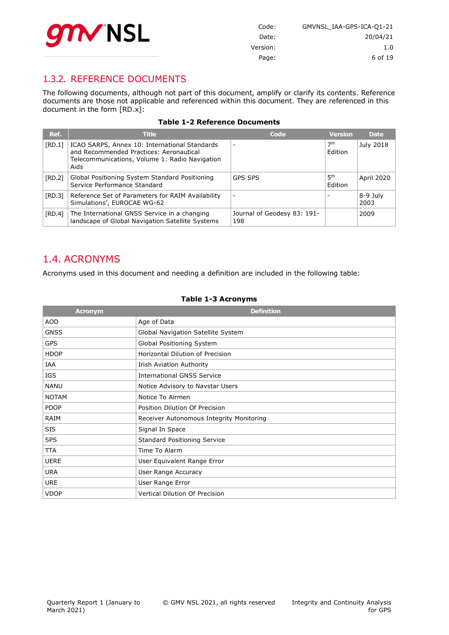

| GMVNSL IAA-GPS-ICA-01-21 | Code:    |
|--------------------------|----------|
| 20/04/21                 | Date:    |
| 1.0                      | Version: |
| 6 of 19                  | Page:    |

#### <span id="page-5-0"></span>1.3.2. REFERENCE DOCUMENTS

The following documents, although not part of this document, amplify or clarify its contents. Reference documents are those not applicable and referenced within this document. They are referenced in this document in the form [RD.x]:

<span id="page-5-2"></span>

| Ref.   | <b>Title</b>                                                                                                                                       | Code                               | <b>Version</b>             | Date             |
|--------|----------------------------------------------------------------------------------------------------------------------------------------------------|------------------------------------|----------------------------|------------------|
| [RD.1] | ICAO SARPS, Annex 10: International Standards<br>and Recommended Practices: Aeronautical<br>Telecommunications, Volume 1: Radio Navigation<br>Aids |                                    | 7 <sup>th</sup><br>Edition | July 2018        |
| [RD.2] | Global Positioning System Standard Positioning<br>Service Performance Standard                                                                     | <b>GPS SPS</b>                     | 5 <sup>th</sup><br>Edition | April 2020       |
| [RD.3] | Reference Set of Parameters for RAIM Availability<br>Simulations', EUROCAE WG-62                                                                   |                                    |                            | 8-9 July<br>2003 |
| [RD.4] | The International GNSS Service in a changing<br>landscape of Global Navigation Satellite Systems                                                   | Journal of Geodesy 83: 191-<br>198 |                            | 2009             |

#### **Table 1-2 Reference Documents**

#### <span id="page-5-1"></span>1.4. ACRONYMS

Acronyms used in this document and needing a definition are included in the following table:

#### **Table 1-3 Acronyms**

<span id="page-5-3"></span>

| <b>Acronym</b> | <b>Definition</b>                        |
|----------------|------------------------------------------|
| <b>AOD</b>     | Age of Data                              |
| <b>GNSS</b>    | Global Navigation Satellite System       |
| <b>GPS</b>     | Global Positioning System                |
| <b>HDOP</b>    | Horizontal Dilution of Precision         |
| <b>IAA</b>     | <b>Irish Aviation Authority</b>          |
| IGS            | <b>International GNSS Service</b>        |
| <b>NANU</b>    | Notice Advisory to Navstar Users         |
| <b>NOTAM</b>   | Notice To Airmen                         |
| <b>PDOP</b>    | Position Dilution Of Precision           |
| RAIM           | Receiver Autonomous Integrity Monitoring |
| <b>SIS</b>     | Signal In Space                          |
| <b>SPS</b>     | <b>Standard Positioning Service</b>      |
| <b>TTA</b>     | Time To Alarm                            |
| <b>UERE</b>    | User Equivalent Range Error              |
| <b>URA</b>     | User Range Accuracy                      |
| <b>URE</b>     | User Range Error                         |
| <b>VDOP</b>    | <b>Vertical Dilution Of Precision</b>    |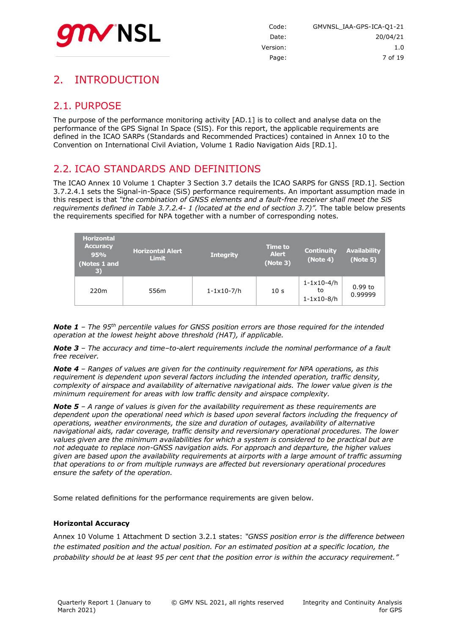

## <span id="page-6-0"></span>2. INTRODUCTION

#### <span id="page-6-1"></span>2.1. PURPOSE

The purpose of the performance monitoring activity [AD.1] is to collect and analyse data on the performance of the GPS Signal In Space (SIS). For this report, the applicable requirements are defined in the ICAO SARPs (Standards and Recommended Practices) contained in Annex 10 to the Convention on International Civil Aviation, Volume 1 Radio Navigation Aids [RD.1].

#### <span id="page-6-2"></span>2.2. ICAO STANDARDS AND DEFINITIONS

The ICAO Annex 10 Volume 1 Chapter 3 Section 3.7 details the ICAO SARPS for GNSS [RD.1]. Section 3.7.2.4.1 sets the Signal-in-Space (SiS) performance requirements. An important assumption made in this respect is that *"the combination of GNSS elements and a fault-free receiver shall meet the SiS requirements defined in Table 3.7.2.4- 1 (located at the end of section 3.7)".* The table below presents the requirements specified for NPA together with a number of corresponding notes.

| <b>Horizontal</b><br><b>Accuracy</b><br>95%<br>(Notes 1 and<br>$\vert 3)$ | <b>Horizontal Alert</b><br><b>Limit</b> | <b>Integrity</b>        | <b>Time to</b><br><b>Alert</b><br>(Note 3) | <b>Continuity</b><br>(Note 4)                            | <b>Availability</b><br>(Note 5) |
|---------------------------------------------------------------------------|-----------------------------------------|-------------------------|--------------------------------------------|----------------------------------------------------------|---------------------------------|
| 220 <sub>m</sub>                                                          | 556m                                    | $1 - 1 \times 10 - 7/h$ | 10 <sub>s</sub>                            | $1 - 1 \times 10 - 4/h$<br>to<br>$1 - 1 \times 10 - 8/h$ | $0.99$ to<br>0.99999            |

*Note 1 – The 95th percentile values for GNSS position errors are those required for the intended operation at the lowest height above threshold (HAT), if applicable.*

*Note 3 – The accuracy and time–to-alert requirements include the nominal performance of a fault free receiver.*

*Note 4 – Ranges of values are given for the continuity requirement for NPA operations, as this requirement is dependent upon several factors including the intended operation, traffic density, complexity of airspace and availability of alternative navigational aids. The lower value given is the minimum requirement for areas with low traffic density and airspace complexity.*

*Note 5 – A range of values is given for the availability requirement as these requirements are dependent upon the operational need which is based upon several factors including the frequency of operations, weather environments, the size and duration of outages, availability of alternative navigational aids, radar coverage, traffic density and reversionary operational procedures. The lower values given are the minimum availabilities for which a system is considered to be practical but are not adequate to replace non-GNSS navigation aids. For approach and departure, the higher values given are based upon the availability requirements at airports with a large amount of traffic assuming that operations to or from multiple runways are affected but reversionary operational procedures ensure the safety of the operation.*

Some related definitions for the performance requirements are given below.

#### **Horizontal Accuracy**

Annex 10 Volume 1 Attachment D section 3.2.1 states: *"GNSS position error is the difference between the estimated position and the actual position. For an estimated position at a specific location, the probability should be at least 95 per cent that the position error is within the accuracy requirement."*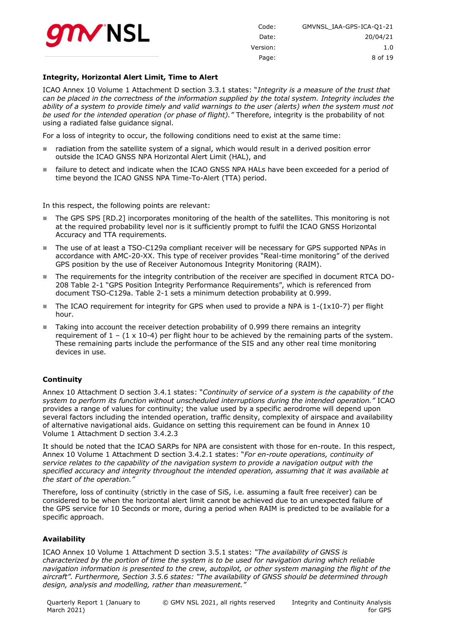

| GMVNSL IAA-GPS-ICA-01-21 | Code:    |
|--------------------------|----------|
| 20/04/21                 | Date:    |
| 1.0                      | Version: |
| 8 of 19                  | Page:    |

#### **Integrity, Horizontal Alert Limit, Time to Alert**

ICAO Annex 10 Volume 1 Attachment D section 3.3.1 states: "*Integrity is a measure of the trust that can be placed in the correctness of the information supplied by the total system. Integrity includes the ability of a system to provide timely and valid warnings to the user (alerts) when the system must not be used for the intended operation (or phase of flight)."* Therefore, integrity is the probability of not using a radiated false guidance signal.

For a loss of integrity to occur, the following conditions need to exist at the same time:

- radiation from the satellite system of a signal, which would result in a derived position error outside the ICAO GNSS NPA Horizontal Alert Limit (HAL), and
- failure to detect and indicate when the ICAO GNSS NPA HALs have been exceeded for a period of time beyond the ICAO GNSS NPA Time-To-Alert (TTA) period.

In this respect, the following points are relevant:

- The GPS SPS [RD.2] incorporates monitoring of the health of the satellites. This monitoring is not at the required probability level nor is it sufficiently prompt to fulfil the ICAO GNSS Horizontal Accuracy and TTA requirements.
- The use of at least a TSO-C129a compliant receiver will be necessary for GPS supported NPAs in accordance with AMC-20-XX. This type of receiver provides "Real-time monitoring" of the derived GPS position by the use of Receiver Autonomous Integrity Monitoring (RAIM).
- The requirements for the integrity contribution of the receiver are specified in document RTCA DO-208 Table 2-1 "GPS Position Integrity Performance Requirements", which is referenced from document TSO-C129a. Table 2-1 sets a minimum detection probability at 0.999.
- The ICAO requirement for integrity for GPS when used to provide a NPA is  $1-(1\times10-7)$  per flight hour.
- Taking into account the receiver detection probability of 0.999 there remains an integrity requirement of  $1 - (1 \times 10^{-4})$  per flight hour to be achieved by the remaining parts of the system. These remaining parts include the performance of the SIS and any other real time monitoring devices in use.

#### **Continuity**

Annex 10 Attachment D section 3.4.1 states: "*Continuity of service of a system is the capability of the system to perform its function without unscheduled interruptions during the intended operation."* ICAO provides a range of values for continuity; the value used by a specific aerodrome will depend upon several factors including the intended operation, traffic density, complexity of airspace and availability of alternative navigational aids. Guidance on setting this requirement can be found in Annex 10 Volume 1 Attachment D section 3.4.2.3

It should be noted that the ICAO SARPs for NPA are consistent with those for en-route. In this respect, Annex 10 Volume 1 Attachment D section 3.4.2.1 states: "*For en-route operations, continuity of service relates to the capability of the navigation system to provide a navigation output with the specified accuracy and integrity throughout the intended operation, assuming that it was available at the start of the operation."*

Therefore, loss of continuity (strictly in the case of SiS, i.e. assuming a fault free receiver) can be considered to be when the horizontal alert limit cannot be achieved due to an unexpected failure of the GPS service for 10 Seconds or more, during a period when RAIM is predicted to be available for a specific approach.

#### **Availability**

ICAO Annex 10 Volume 1 Attachment D section 3.5.1 states: *"The availability of GNSS is characterized by the portion of time the system is to be used for navigation during which reliable navigation information is presented to the crew, autopilot, or other system managing the flight of the aircraft". Furthermore, Section 3.5.6 states: "The availability of GNSS should be determined through design, analysis and modelling, rather than measurement."*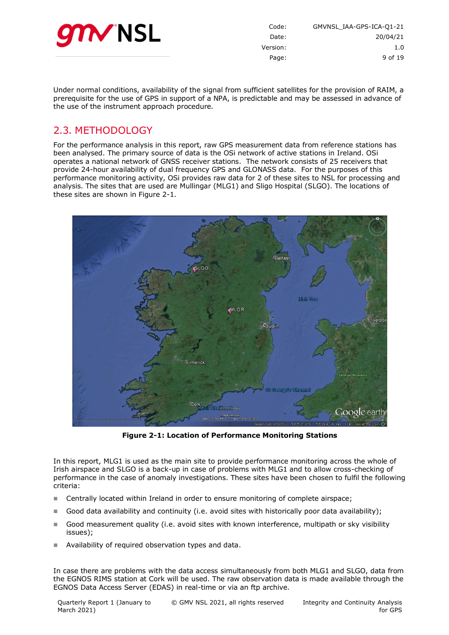

| GMVNSL IAA-GPS-ICA-01-21<br>Code: |         |
|-----------------------------------|---------|
| 20/04/21<br>Date:                 |         |
| Version:                          | 1.0     |
| Page:                             | 9 of 19 |
|                                   |         |

Under normal conditions, availability of the signal from sufficient satellites for the provision of RAIM, a prerequisite for the use of GPS in support of a NPA, is predictable and may be assessed in advance of the use of the instrument approach procedure.

## <span id="page-8-0"></span>2.3. METHODOLOGY

For the performance analysis in this report, raw GPS measurement data from reference stations has been analysed. The primary source of data is the OSi network of active stations in Ireland. OSi operates a national network of GNSS receiver stations. The network consists of 25 receivers that provide 24-hour availability of dual frequency GPS and GLONASS data. For the purposes of this performance monitoring activity, OSi provides raw data for 2 of these sites to NSL for processing and analysis. The sites that are used are Mullingar (MLG1) and Sligo Hospital (SLGO). The locations of these sites are shown in [Figure 2-1.](#page-8-1)



**Figure 2-1: Location of Performance Monitoring Stations**

<span id="page-8-1"></span>In this report, MLG1 is used as the main site to provide performance monitoring across the whole of Irish airspace and SLGO is a back-up in case of problems with MLG1 and to allow cross-checking of performance in the case of anomaly investigations. These sites have been chosen to fulfil the following criteria:

- Centrally located within Ireland in order to ensure monitoring of complete airspace;
- Good data availability and continuity (i.e. avoid sites with historically poor data availability);
- Good measurement quality (i.e. avoid sites with known interference, multipath or sky visibility issues);
- Availability of required observation types and data.

In case there are problems with the data access simultaneously from both MLG1 and SLGO, data from the EGNOS RIMS station at Cork will be used. The raw observation data is made available through the EGNOS Data Access Server (EDAS) in real-time or via an ftp archive.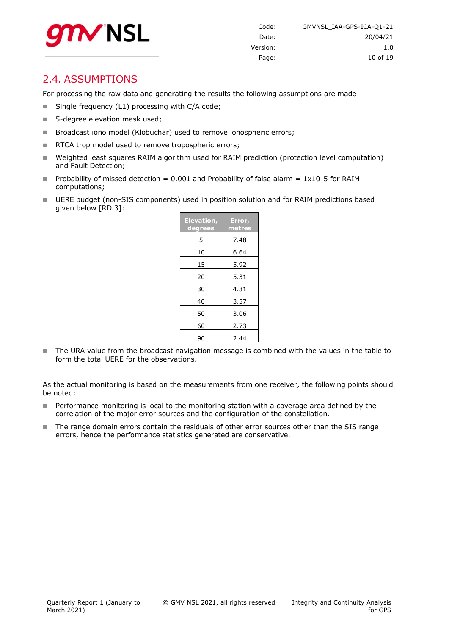

#### <span id="page-9-0"></span>2.4. ASSUMPTIONS

For processing the raw data and generating the results the following assumptions are made:

- Single frequency (L1) processing with C/A code;
- 5-degree elevation mask used;
- Broadcast iono model (Klobuchar) used to remove ionospheric errors;
- RTCA trop model used to remove tropospheric errors;
- Weighted least squares RAIM algorithm used for RAIM prediction (protection level computation) and Fault Detection;
- Probability of missed detection = 0.001 and Probability of false alarm =  $1x10-5$  for RAIM computations;
- UERE budget (non-SIS components) used in position solution and for RAIM predictions based given below [RD.3]:

| <b>Elevation,</b><br><u>degrees</u> | Error,<br>metres |
|-------------------------------------|------------------|
| 5                                   | 7.48             |
| 10                                  | 6.64             |
| 15                                  | 5.92             |
| 20                                  | 5.31             |
| 30                                  | 4.31             |
| 40                                  | 3.57             |
| 50                                  | 3.06             |
| 60                                  | 2.73             |
| 90                                  | 2.44             |

The URA value from the broadcast navigation message is combined with the values in the table to form the total UERE for the observations.

As the actual monitoring is based on the measurements from one receiver, the following points should be noted:

- **Performance monitoring is local to the monitoring station with a coverage area defined by the** correlation of the major error sources and the configuration of the constellation.
- The range domain errors contain the residuals of other error sources other than the SIS range errors, hence the performance statistics generated are conservative.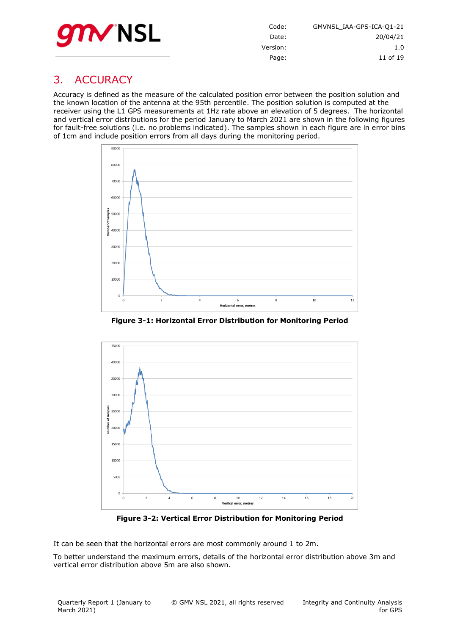

| GMVNSL IAA-GPS-ICA-01-21 | Code:    |
|--------------------------|----------|
| 20/04/21                 | Date:    |
| 1.0                      | Version: |
| 11 of 19                 | Page:    |

## <span id="page-10-0"></span>3. ACCURACY

Accuracy is defined as the measure of the calculated position error between the position solution and the known location of the antenna at the 95th percentile. The position solution is computed at the receiver using the L1 GPS measurements at 1Hz rate above an elevation of 5 degrees. The horizontal and vertical error distributions for the period January to March 2021 are shown in the following figures for fault-free solutions (i.e. no problems indicated). The samples shown in each figure are in error bins of 1cm and include position errors from all days during the monitoring period.



**Figure 3-1: Horizontal Error Distribution for Monitoring Period**

<span id="page-10-1"></span>

**Figure 3-2: Vertical Error Distribution for Monitoring Period**

<span id="page-10-2"></span>It can be seen that the horizontal errors are most commonly around 1 to 2m.

To better understand the maximum errors, details of the horizontal error distribution above 3m and vertical error distribution above 5m are also shown.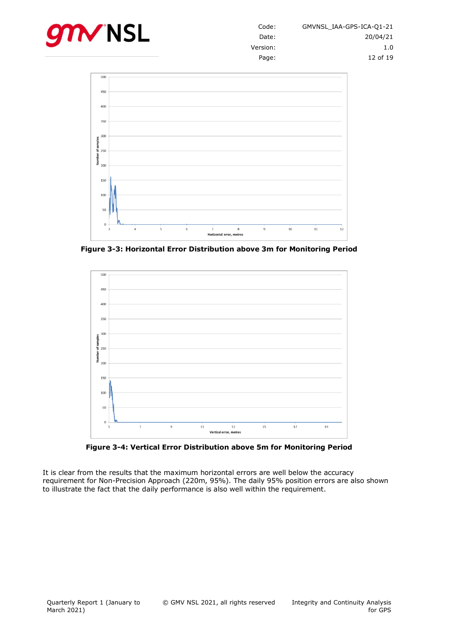



<span id="page-11-0"></span>**Figure 3-3: Horizontal Error Distribution above 3m for Monitoring Period**



**Figure 3-4: Vertical Error Distribution above 5m for Monitoring Period**

<span id="page-11-1"></span>It is clear from the results that the maximum horizontal errors are well below the accuracy requirement for Non-Precision Approach (220m, 95%). The daily 95% position errors are also shown to illustrate the fact that the daily performance is also well within the requirement.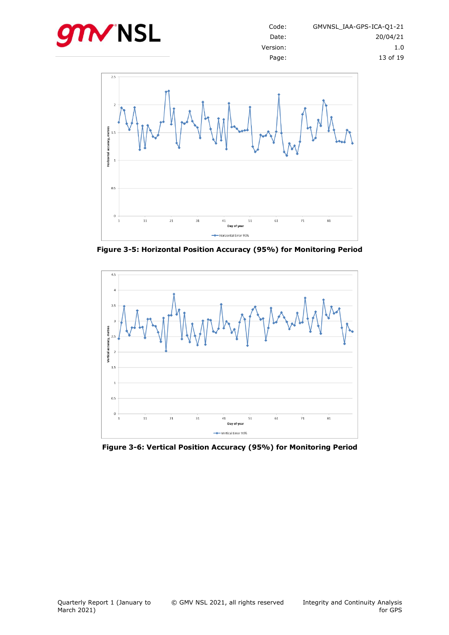



<span id="page-12-0"></span>**Figure 3-5: Horizontal Position Accuracy (95%) for Monitoring Period**



<span id="page-12-1"></span>**Figure 3-6: Vertical Position Accuracy (95%) for Monitoring Period**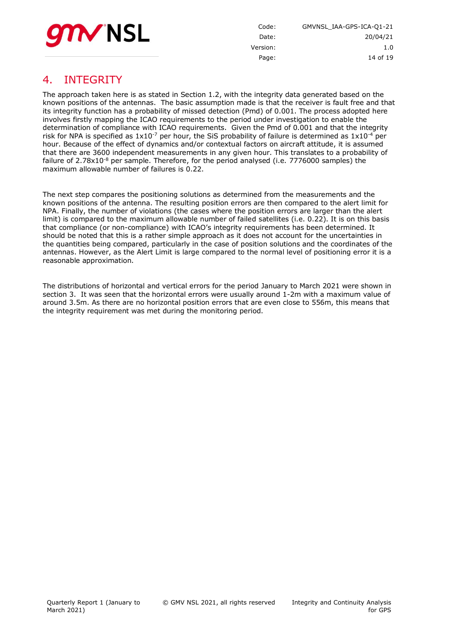

Code: GMVNSL\_IAA-GPS-ICA-Q1-21 Date: 20/04/21 Version: 1.0 Page: 14 of [19](#page-18-0)

## <span id="page-13-0"></span>4. INTEGRITY

The approach taken here is as stated in Section 1.2, with the integrity data generated based on the known positions of the antennas. The basic assumption made is that the receiver is fault free and that its integrity function has a probability of missed detection (Pmd) of 0.001. The process adopted here involves firstly mapping the ICAO requirements to the period under investigation to enable the determination of compliance with ICAO requirements. Given the Pmd of 0.001 and that the integrity risk for NPA is specified as  $1x10^{-7}$  per hour, the SiS probability of failure is determined as  $1x10^{-4}$  per hour. Because of the effect of dynamics and/or contextual factors on aircraft attitude, it is assumed that there are 3600 independent measurements in any given hour. This translates to a probability of failure of  $2.78 \times 10^{-8}$  per sample. Therefore, for the period analysed (i.e. 7776000 samples) the maximum allowable number of failures is 0.22.

The next step compares the positioning solutions as determined from the measurements and the known positions of the antenna. The resulting position errors are then compared to the alert limit for NPA. Finally, the number of violations (the cases where the position errors are larger than the alert limit) is compared to the maximum allowable number of failed satellites (i.e. 0.22). It is on this basis that compliance (or non-compliance) with ICAO's integrity requirements has been determined. It should be noted that this is a rather simple approach as it does not account for the uncertainties in the quantities being compared, particularly in the case of position solutions and the coordinates of the antennas. However, as the Alert Limit is large compared to the normal level of positioning error it is a reasonable approximation.

The distributions of horizontal and vertical errors for the period January to March 2021 were shown in section [3.](#page-10-0) It was seen that the horizontal errors were usually around 1-2m with a maximum value of around 3.5m. As there are no horizontal position errors that are even close to 556m, this means that the integrity requirement was met during the monitoring period.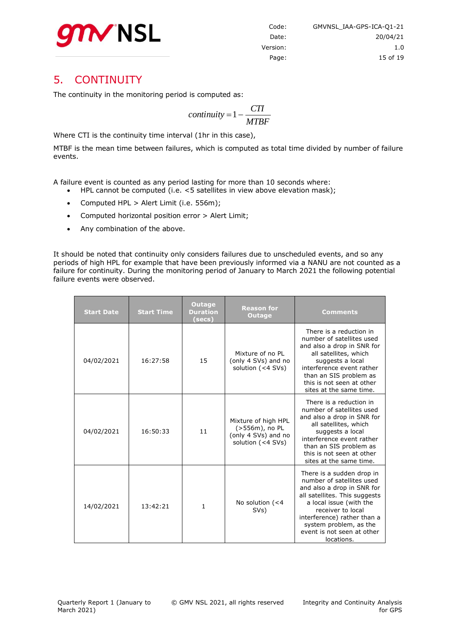

## <span id="page-14-0"></span>5. CONTINUITY

The continuity in the monitoring period is computed as:

$$
continuity = 1 - \frac{CTI}{MTBF}
$$

Where CTI is the continuity time interval (1hr in this case),

MTBF is the mean time between failures, which is computed as total time divided by number of failure events.

A failure event is counted as any period lasting for more than 10 seconds where:

- HPL cannot be computed (i.e. <5 satellites in view above elevation mask);
- Computed HPL > Alert Limit (i.e. 556m);
- Computed horizontal position error > Alert Limit;
- Any combination of the above.

It should be noted that continuity only considers failures due to unscheduled events, and so any periods of high HPL for example that have been previously informed via a NANU are not counted as a failure for continuity. During the monitoring period of January to March 2021 the following potential failure events were observed.

| <b>Start Date</b> | <b>Start Time</b> | <b>Outage</b><br><b>Duration</b><br>(secs) | <b>Reason for</b><br><b>Outage</b>                                                | <b>Comments</b>                                                                                                                                                                                                                                                            |  |
|-------------------|-------------------|--------------------------------------------|-----------------------------------------------------------------------------------|----------------------------------------------------------------------------------------------------------------------------------------------------------------------------------------------------------------------------------------------------------------------------|--|
| 04/02/2021        | 16:27:58          | 15                                         | Mixture of no PL<br>(only 4 SVs) and no<br>solution $(4 SVs)$                     | There is a reduction in<br>number of satellites used<br>and also a drop in SNR for<br>all satellites, which<br>suggests a local<br>interference event rather<br>than an SIS problem as<br>this is not seen at other<br>sites at the same time.                             |  |
| 04/02/2021        | 16:50:33          | 11                                         | Mixture of high HPL<br>(>556m), no PL<br>(only 4 SVs) and no<br>solution (<4 SVs) | There is a reduction in<br>number of satellites used<br>and also a drop in SNR for<br>all satellites, which<br>suggests a local<br>interference event rather<br>than an SIS problem as<br>this is not seen at other<br>sites at the same time.                             |  |
| 14/02/2021        | 13:42:21          | 1                                          | No solution $(< 4$<br>SVs)                                                        | There is a sudden drop in<br>number of satellites used<br>and also a drop in SNR for<br>all satellites. This suggests<br>a local issue (with the<br>receiver to local<br>interference) rather than a<br>system problem, as the<br>event is not seen at other<br>locations. |  |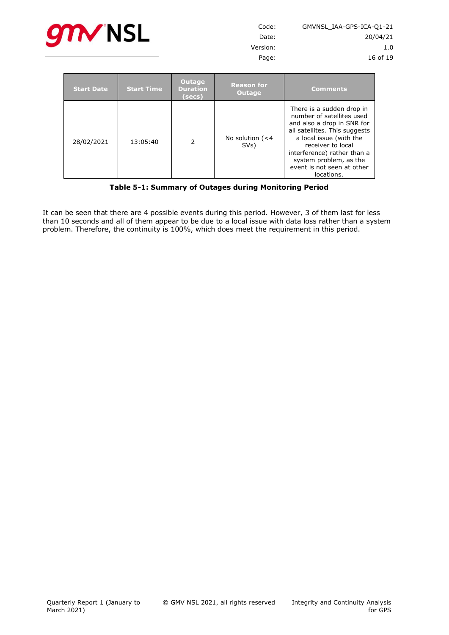

| <b>Start Date</b> | <b>Start Time</b> | Outage<br><b>Duration</b><br>(secs) | <b>Reason for</b><br><b>Outage</b> | <b>Comments</b>                                                                                                                                                                                                                                                            |
|-------------------|-------------------|-------------------------------------|------------------------------------|----------------------------------------------------------------------------------------------------------------------------------------------------------------------------------------------------------------------------------------------------------------------------|
| 28/02/2021        | 13:05:40          | $\mathcal{P}$                       | No solution $(< 4$<br>SVs)         | There is a sudden drop in<br>number of satellites used<br>and also a drop in SNR for<br>all satellites. This suggests<br>a local issue (with the<br>receiver to local<br>interference) rather than a<br>system problem, as the<br>event is not seen at other<br>locations. |

#### **Table 5-1: Summary of Outages during Monitoring Period**

<span id="page-15-0"></span>It can be seen that there are 4 possible events during this period. However, 3 of them last for less than 10 seconds and all of them appear to be due to a local issue with data loss rather than a system problem. Therefore, the continuity is 100%, which does meet the requirement in this period.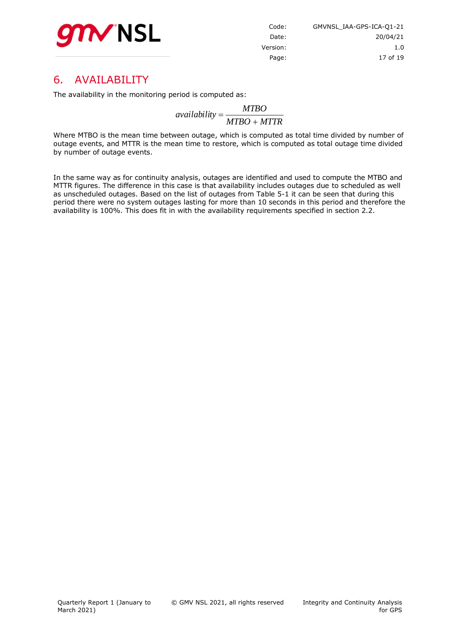

| Code:    | GMVNSL IAA-GPS-ICA-01-21 |
|----------|--------------------------|
| Date:    | 20/04/21                 |
| Version: | 1. $\Omega$              |
| Page:    | 17 of 19                 |

## <span id="page-16-0"></span>6. AVAILABILITY

The availability in the monitoring period is computed as:

*MTBO MTTR MTBO availability*

Where MTBO is the mean time between outage, which is computed as total time divided by number of outage events, and MTTR is the mean time to restore, which is computed as total outage time divided by number of outage events.

In the same way as for continuity analysis, outages are identified and used to compute the MTBO and MTTR figures. The difference in this case is that availability includes outages due to scheduled as well as unscheduled outages. Based on the list of outages from [Table](#page-15-0) 5-1 it can be seen that during this period there were no system outages lasting for more than 10 seconds in this period and therefore the availability is 100%. This does fit in with the availability requirements specified in section 2.2.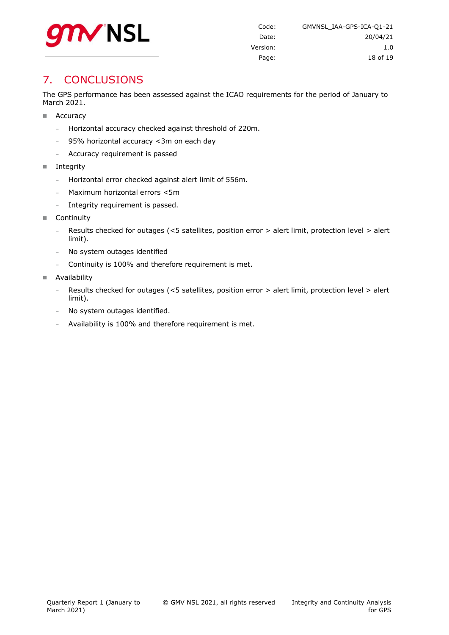

## <span id="page-17-0"></span>7. CONCLUSIONS

The GPS performance has been assessed against the ICAO requirements for the period of January to March 2021.

- **Accuracy** 
	- **-** Horizontal accuracy checked against threshold of 220m.
	- **-** 95% horizontal accuracy <3m on each day
	- **-** Accuracy requirement is passed
- **Integrity** 
	- **-** Horizontal error checked against alert limit of 556m.
	- **-** Maximum horizontal errors <5m
	- **-** Integrity requirement is passed.
- Continuity
	- **-** Results checked for outages (<5 satellites, position error > alert limit, protection level > alert limit).
	- **-** No system outages identified
	- **-** Continuity is 100% and therefore requirement is met.
- **Availability** 
	- **-** Results checked for outages (<5 satellites, position error > alert limit, protection level > alert limit).
	- **-** No system outages identified.
	- **-** Availability is 100% and therefore requirement is met.